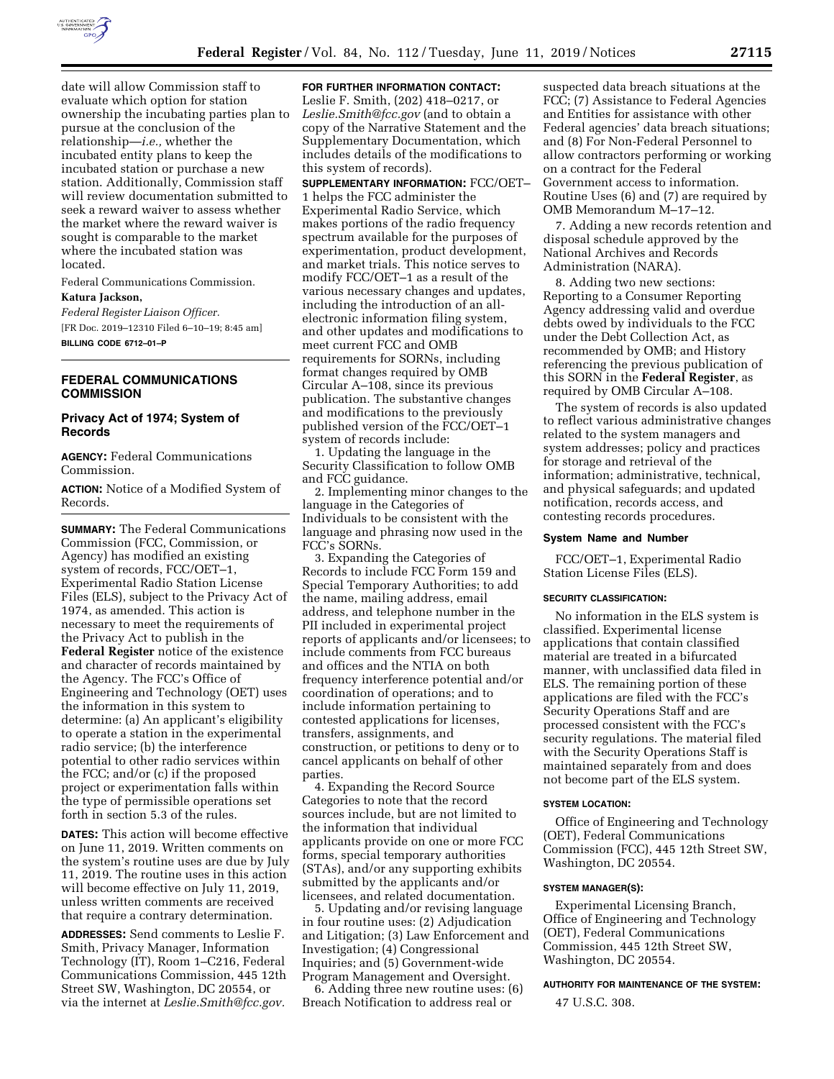

date will allow Commission staff to evaluate which option for station ownership the incubating parties plan to pursue at the conclusion of the relationship—*i.e.,* whether the incubated entity plans to keep the incubated station or purchase a new station. Additionally, Commission staff will review documentation submitted to seek a reward waiver to assess whether the market where the reward waiver is sought is comparable to the market where the incubated station was located.

Federal Communications Commission.

# **Katura Jackson,**

*Federal Register Liaison Officer.*  [FR Doc. 2019–12310 Filed 6–10–19; 8:45 am] **BILLING CODE 6712–01–P** 

# **FEDERAL COMMUNICATIONS COMMISSION**

# **Privacy Act of 1974; System of Records**

**AGENCY:** Federal Communications Commission.

**ACTION:** Notice of a Modified System of Records.

**SUMMARY:** The Federal Communications Commission (FCC, Commission, or Agency) has modified an existing system of records, FCC/OET–1, Experimental Radio Station License Files (ELS), subject to the Privacy Act of 1974, as amended. This action is necessary to meet the requirements of the Privacy Act to publish in the **Federal Register** notice of the existence and character of records maintained by the Agency. The FCC's Office of Engineering and Technology (OET) uses the information in this system to determine: (a) An applicant's eligibility to operate a station in the experimental radio service; (b) the interference potential to other radio services within the FCC; and/or (c) if the proposed project or experimentation falls within the type of permissible operations set forth in section 5.3 of the rules.

**DATES:** This action will become effective on June 11, 2019. Written comments on the system's routine uses are due by July 11, 2019. The routine uses in this action will become effective on July 11, 2019, unless written comments are received that require a contrary determination.

**ADDRESSES:** Send comments to Leslie F. Smith, Privacy Manager, Information Technology (IT), Room 1–C216, Federal Communications Commission, 445 12th Street SW, Washington, DC 20554, or via the internet at *[Leslie.Smith@fcc.gov.](mailto:Leslie.Smith@fcc.gov)* 

**FOR FURTHER INFORMATION CONTACT:**  Leslie F. Smith, (202) 418–0217, or *[Leslie.Smith@fcc.gov](mailto:Leslie.Smith@fcc.gov)* (and to obtain a copy of the Narrative Statement and the Supplementary Documentation, which includes details of the modifications to this system of records).

**SUPPLEMENTARY INFORMATION:** FCC/OET– 1 helps the FCC administer the Experimental Radio Service, which makes portions of the radio frequency spectrum available for the purposes of experimentation, product development, and market trials. This notice serves to modify FCC/OET–1 as a result of the various necessary changes and updates, including the introduction of an allelectronic information filing system, and other updates and modifications to meet current FCC and OMB requirements for SORNs, including format changes required by OMB Circular A–108, since its previous publication. The substantive changes and modifications to the previously published version of the FCC/OET–1 system of records include:

1. Updating the language in the Security Classification to follow OMB and FCC guidance.

2. Implementing minor changes to the language in the Categories of Individuals to be consistent with the language and phrasing now used in the FCC's SORNs.

3. Expanding the Categories of Records to include FCC Form 159 and Special Temporary Authorities; to add the name, mailing address, email address, and telephone number in the PII included in experimental project reports of applicants and/or licensees; to include comments from FCC bureaus and offices and the NTIA on both frequency interference potential and/or coordination of operations; and to include information pertaining to contested applications for licenses, transfers, assignments, and construction, or petitions to deny or to cancel applicants on behalf of other parties.

4. Expanding the Record Source Categories to note that the record sources include, but are not limited to the information that individual applicants provide on one or more FCC forms, special temporary authorities (STAs), and/or any supporting exhibits submitted by the applicants and/or licensees, and related documentation.

5. Updating and/or revising language in four routine uses: (2) Adjudication and Litigation; (3) Law Enforcement and Investigation; (4) Congressional Inquiries; and (5) Government-wide Program Management and Oversight.

6. Adding three new routine uses: (6) Breach Notification to address real or

suspected data breach situations at the FCC; (7) Assistance to Federal Agencies and Entities for assistance with other Federal agencies' data breach situations; and (8) For Non-Federal Personnel to allow contractors performing or working on a contract for the Federal Government access to information. Routine Uses (6) and (7) are required by OMB Memorandum M–17–12.

7. Adding a new records retention and disposal schedule approved by the National Archives and Records Administration (NARA).

8. Adding two new sections: Reporting to a Consumer Reporting Agency addressing valid and overdue debts owed by individuals to the FCC under the Debt Collection Act, as recommended by OMB; and History referencing the previous publication of this SORN in the **Federal Register**, as required by OMB Circular A–108.

The system of records is also updated to reflect various administrative changes related to the system managers and system addresses; policy and practices for storage and retrieval of the information; administrative, technical, and physical safeguards; and updated notification, records access, and contesting records procedures.

## **System Name and Number**

FCC/OET–1, Experimental Radio Station License Files (ELS).

# **SECURITY CLASSIFICATION:**

No information in the ELS system is classified. Experimental license applications that contain classified material are treated in a bifurcated manner, with unclassified data filed in ELS. The remaining portion of these applications are filed with the FCC's Security Operations Staff and are processed consistent with the FCC's security regulations. The material filed with the Security Operations Staff is maintained separately from and does not become part of the ELS system.

#### **SYSTEM LOCATION:**

Office of Engineering and Technology (OET), Federal Communications Commission (FCC), 445 12th Street SW, Washington, DC 20554.

#### **SYSTEM MANAGER(S):**

Experimental Licensing Branch, Office of Engineering and Technology (OET), Federal Communications Commission, 445 12th Street SW, Washington, DC 20554.

#### **AUTHORITY FOR MAINTENANCE OF THE SYSTEM:**

47 U.S.C. 308.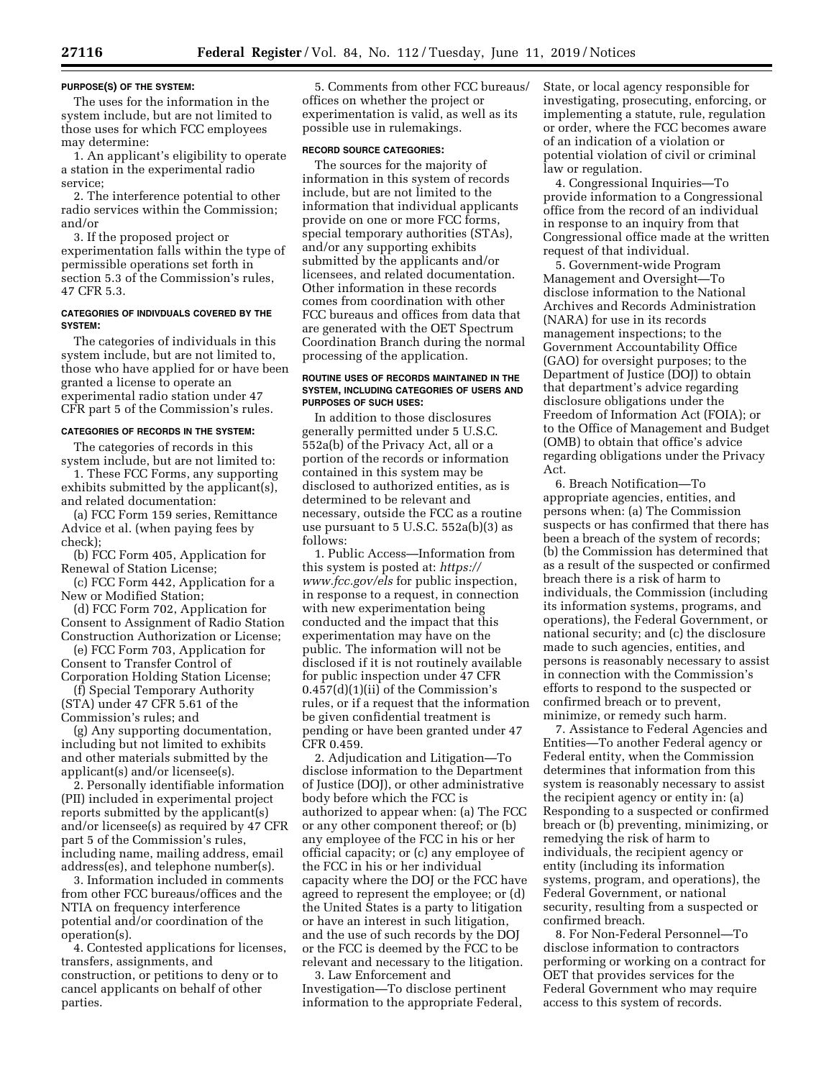### **PURPOSE(S) OF THE SYSTEM:**

The uses for the information in the system include, but are not limited to those uses for which FCC employees may determine:

1. An applicant's eligibility to operate a station in the experimental radio service;

2. The interference potential to other radio services within the Commission; and/or

3. If the proposed project or experimentation falls within the type of permissible operations set forth in section 5.3 of the Commission's rules, 47 CFR 5.3.

## **CATEGORIES OF INDIVDUALS COVERED BY THE SYSTEM:**

The categories of individuals in this system include, but are not limited to, those who have applied for or have been granted a license to operate an experimental radio station under 47 CFR part 5 of the Commission's rules.

# **CATEGORIES OF RECORDS IN THE SYSTEM:**

The categories of records in this system include, but are not limited to:

1. These FCC Forms, any supporting exhibits submitted by the applicant(s), and related documentation:

(a) FCC Form 159 series, Remittance Advice et al. (when paying fees by check);

(b) FCC Form 405, Application for Renewal of Station License;

(c) FCC Form 442, Application for a New or Modified Station;

(d) FCC Form 702, Application for Consent to Assignment of Radio Station Construction Authorization or License;

(e) FCC Form 703, Application for Consent to Transfer Control of

Corporation Holding Station License; (f) Special Temporary Authority (STA) under 47 CFR 5.61 of the

Commission's rules; and (g) Any supporting documentation,

including but not limited to exhibits and other materials submitted by the applicant(s) and/or licensee(s).

2. Personally identifiable information (PII) included in experimental project reports submitted by the applicant(s) and/or licensee(s) as required by 47 CFR part 5 of the Commission's rules, including name, mailing address, email address(es), and telephone number(s).

3. Information included in comments from other FCC bureaus/offices and the NTIA on frequency interference potential and/or coordination of the operation(s).

4. Contested applications for licenses, transfers, assignments, and construction, or petitions to deny or to cancel applicants on behalf of other parties.

5. Comments from other FCC bureaus/ offices on whether the project or experimentation is valid, as well as its possible use in rulemakings.

### **RECORD SOURCE CATEGORIES:**

The sources for the majority of information in this system of records include, but are not limited to the information that individual applicants provide on one or more FCC forms, special temporary authorities (STAs), and/or any supporting exhibits submitted by the applicants and/or licensees, and related documentation. Other information in these records comes from coordination with other FCC bureaus and offices from data that are generated with the OET Spectrum Coordination Branch during the normal processing of the application.

## **ROUTINE USES OF RECORDS MAINTAINED IN THE SYSTEM, INCLUDING CATEGORIES OF USERS AND PURPOSES OF SUCH USES:**

In addition to those disclosures generally permitted under 5 U.S.C. 552a(b) of the Privacy Act, all or a portion of the records or information contained in this system may be disclosed to authorized entities, as is determined to be relevant and necessary, outside the FCC as a routine use pursuant to 5 U.S.C. 552a(b)(3) as follows:

1. Public Access—Information from this system is posted at: *[https://](https://www.fcc.gov/els) [www.fcc.gov/els](https://www.fcc.gov/els)* for public inspection, in response to a request, in connection with new experimentation being conducted and the impact that this experimentation may have on the public. The information will not be disclosed if it is not routinely available for public inspection under 47 CFR 0.457(d)(1)(ii) of the Commission's rules, or if a request that the information be given confidential treatment is pending or have been granted under 47 CFR 0.459.

2. Adjudication and Litigation—To disclose information to the Department of Justice (DOJ), or other administrative body before which the FCC is authorized to appear when: (a) The FCC or any other component thereof; or (b) any employee of the FCC in his or her official capacity; or (c) any employee of the FCC in his or her individual capacity where the DOJ or the FCC have agreed to represent the employee; or (d) the United States is a party to litigation or have an interest in such litigation, and the use of such records by the DOJ or the FCC is deemed by the FCC to be relevant and necessary to the litigation.

3. Law Enforcement and Investigation—To disclose pertinent information to the appropriate Federal, State, or local agency responsible for investigating, prosecuting, enforcing, or implementing a statute, rule, regulation or order, where the FCC becomes aware of an indication of a violation or potential violation of civil or criminal law or regulation.

4. Congressional Inquiries—To provide information to a Congressional office from the record of an individual in response to an inquiry from that Congressional office made at the written request of that individual.

5. Government-wide Program Management and Oversight—To disclose information to the National Archives and Records Administration (NARA) for use in its records management inspections; to the Government Accountability Office (GAO) for oversight purposes; to the Department of Justice (DOJ) to obtain that department's advice regarding disclosure obligations under the Freedom of Information Act (FOIA); or to the Office of Management and Budget (OMB) to obtain that office's advice regarding obligations under the Privacy Act.

6. Breach Notification—To appropriate agencies, entities, and persons when: (a) The Commission suspects or has confirmed that there has been a breach of the system of records; (b) the Commission has determined that as a result of the suspected or confirmed breach there is a risk of harm to individuals, the Commission (including its information systems, programs, and operations), the Federal Government, or national security; and (c) the disclosure made to such agencies, entities, and persons is reasonably necessary to assist in connection with the Commission's efforts to respond to the suspected or confirmed breach or to prevent, minimize, or remedy such harm.

7. Assistance to Federal Agencies and Entities—To another Federal agency or Federal entity, when the Commission determines that information from this system is reasonably necessary to assist the recipient agency or entity in: (a) Responding to a suspected or confirmed breach or (b) preventing, minimizing, or remedying the risk of harm to individuals, the recipient agency or entity (including its information systems, program, and operations), the Federal Government, or national security, resulting from a suspected or confirmed breach.

8. For Non-Federal Personnel—To disclose information to contractors performing or working on a contract for OET that provides services for the Federal Government who may require access to this system of records.